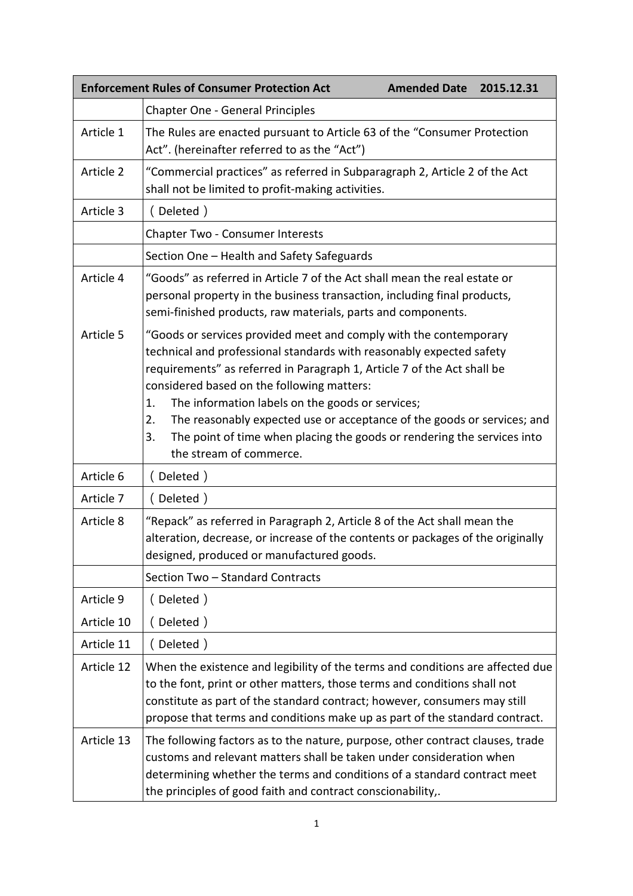|            | <b>Enforcement Rules of Consumer Protection Act</b><br><b>Amended Date</b><br>2015.12.31                                                                                                                                                                                                                                                                                                                                                                                                                                  |
|------------|---------------------------------------------------------------------------------------------------------------------------------------------------------------------------------------------------------------------------------------------------------------------------------------------------------------------------------------------------------------------------------------------------------------------------------------------------------------------------------------------------------------------------|
|            | <b>Chapter One - General Principles</b>                                                                                                                                                                                                                                                                                                                                                                                                                                                                                   |
| Article 1  | The Rules are enacted pursuant to Article 63 of the "Consumer Protection<br>Act". (hereinafter referred to as the "Act")                                                                                                                                                                                                                                                                                                                                                                                                  |
| Article 2  | "Commercial practices" as referred in Subparagraph 2, Article 2 of the Act<br>shall not be limited to profit-making activities.                                                                                                                                                                                                                                                                                                                                                                                           |
| Article 3  | (Deleted)                                                                                                                                                                                                                                                                                                                                                                                                                                                                                                                 |
|            | <b>Chapter Two - Consumer Interests</b>                                                                                                                                                                                                                                                                                                                                                                                                                                                                                   |
|            | Section One - Health and Safety Safeguards                                                                                                                                                                                                                                                                                                                                                                                                                                                                                |
| Article 4  | "Goods" as referred in Article 7 of the Act shall mean the real estate or<br>personal property in the business transaction, including final products,<br>semi-finished products, raw materials, parts and components.                                                                                                                                                                                                                                                                                                     |
| Article 5  | "Goods or services provided meet and comply with the contemporary<br>technical and professional standards with reasonably expected safety<br>requirements" as referred in Paragraph 1, Article 7 of the Act shall be<br>considered based on the following matters:<br>The information labels on the goods or services;<br>1.<br>The reasonably expected use or acceptance of the goods or services; and<br>2.<br>The point of time when placing the goods or rendering the services into<br>3.<br>the stream of commerce. |
| Article 6  | (Deleted)                                                                                                                                                                                                                                                                                                                                                                                                                                                                                                                 |
| Article 7  | (Deleted)                                                                                                                                                                                                                                                                                                                                                                                                                                                                                                                 |
| Article 8  | "Repack" as referred in Paragraph 2, Article 8 of the Act shall mean the<br>alteration, decrease, or increase of the contents or packages of the originally<br>designed, produced or manufactured goods.<br>Section Two - Standard Contracts                                                                                                                                                                                                                                                                              |
| Article 9  | (Deleted)                                                                                                                                                                                                                                                                                                                                                                                                                                                                                                                 |
| Article 10 | (Deleted)                                                                                                                                                                                                                                                                                                                                                                                                                                                                                                                 |
| Article 11 | (Deleted)                                                                                                                                                                                                                                                                                                                                                                                                                                                                                                                 |
| Article 12 | When the existence and legibility of the terms and conditions are affected due<br>to the font, print or other matters, those terms and conditions shall not<br>constitute as part of the standard contract; however, consumers may still<br>propose that terms and conditions make up as part of the standard contract.                                                                                                                                                                                                   |
| Article 13 | The following factors as to the nature, purpose, other contract clauses, trade<br>customs and relevant matters shall be taken under consideration when<br>determining whether the terms and conditions of a standard contract meet<br>the principles of good faith and contract conscionability,.                                                                                                                                                                                                                         |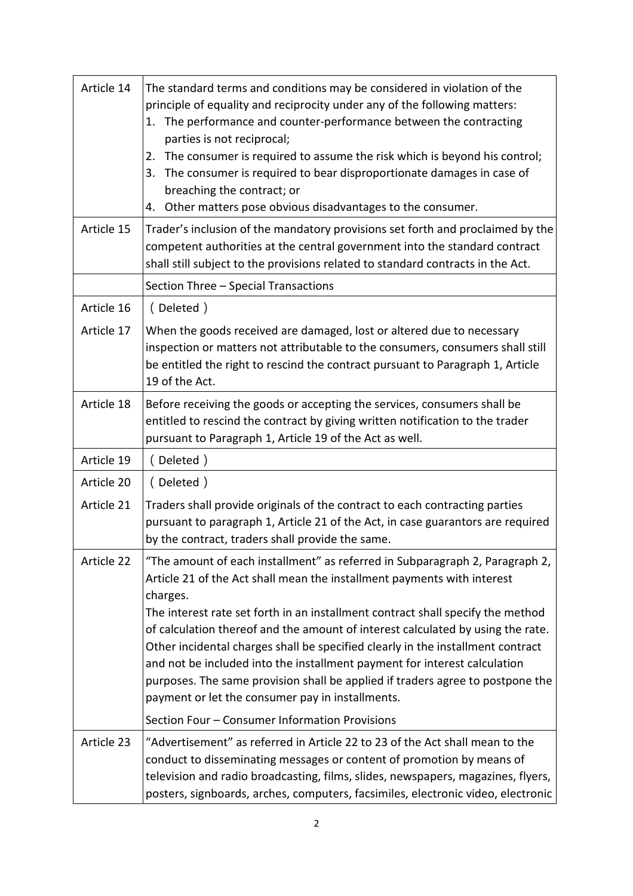| Article 14 | The standard terms and conditions may be considered in violation of the<br>principle of equality and reciprocity under any of the following matters:<br>The performance and counter-performance between the contracting<br>1.<br>parties is not reciprocal;<br>The consumer is required to assume the risk which is beyond his control;<br>2.<br>The consumer is required to bear disproportionate damages in case of<br>3.<br>breaching the contract; or<br>Other matters pose obvious disadvantages to the consumer.<br>4.                                                                                                                    |
|------------|-------------------------------------------------------------------------------------------------------------------------------------------------------------------------------------------------------------------------------------------------------------------------------------------------------------------------------------------------------------------------------------------------------------------------------------------------------------------------------------------------------------------------------------------------------------------------------------------------------------------------------------------------|
| Article 15 | Trader's inclusion of the mandatory provisions set forth and proclaimed by the<br>competent authorities at the central government into the standard contract<br>shall still subject to the provisions related to standard contracts in the Act.                                                                                                                                                                                                                                                                                                                                                                                                 |
|            | Section Three - Special Transactions                                                                                                                                                                                                                                                                                                                                                                                                                                                                                                                                                                                                            |
| Article 16 | (Deleted)                                                                                                                                                                                                                                                                                                                                                                                                                                                                                                                                                                                                                                       |
| Article 17 | When the goods received are damaged, lost or altered due to necessary<br>inspection or matters not attributable to the consumers, consumers shall still<br>be entitled the right to rescind the contract pursuant to Paragraph 1, Article<br>19 of the Act.                                                                                                                                                                                                                                                                                                                                                                                     |
| Article 18 | Before receiving the goods or accepting the services, consumers shall be<br>entitled to rescind the contract by giving written notification to the trader<br>pursuant to Paragraph 1, Article 19 of the Act as well.                                                                                                                                                                                                                                                                                                                                                                                                                            |
| Article 19 | (Deleted)                                                                                                                                                                                                                                                                                                                                                                                                                                                                                                                                                                                                                                       |
| Article 20 | (Deleted)                                                                                                                                                                                                                                                                                                                                                                                                                                                                                                                                                                                                                                       |
| Article 21 | Traders shall provide originals of the contract to each contracting parties<br>pursuant to paragraph 1, Article 21 of the Act, in case guarantors are required<br>by the contract, traders shall provide the same.                                                                                                                                                                                                                                                                                                                                                                                                                              |
| Article 22 | "The amount of each installment" as referred in Subparagraph 2, Paragraph 2,<br>Article 21 of the Act shall mean the installment payments with interest<br>charges.<br>The interest rate set forth in an installment contract shall specify the method<br>of calculation thereof and the amount of interest calculated by using the rate.<br>Other incidental charges shall be specified clearly in the installment contract<br>and not be included into the installment payment for interest calculation<br>purposes. The same provision shall be applied if traders agree to postpone the<br>payment or let the consumer pay in installments. |
|            | Section Four - Consumer Information Provisions                                                                                                                                                                                                                                                                                                                                                                                                                                                                                                                                                                                                  |
| Article 23 | "Advertisement" as referred in Article 22 to 23 of the Act shall mean to the<br>conduct to disseminating messages or content of promotion by means of<br>television and radio broadcasting, films, slides, newspapers, magazines, flyers,<br>posters, signboards, arches, computers, facsimiles, electronic video, electronic                                                                                                                                                                                                                                                                                                                   |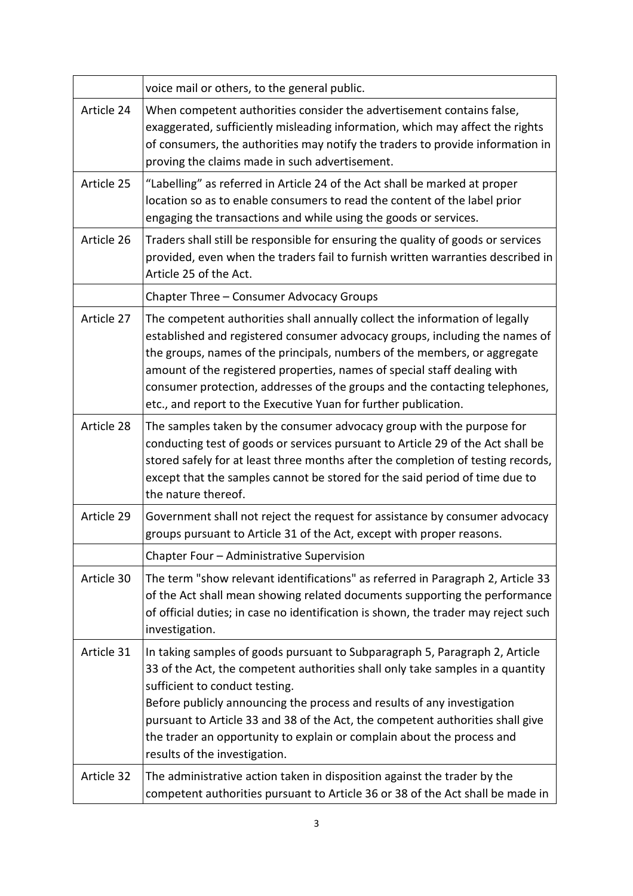|            | voice mail or others, to the general public.                                                                                                                                                                                                                                                                                                                                                                                                                            |
|------------|-------------------------------------------------------------------------------------------------------------------------------------------------------------------------------------------------------------------------------------------------------------------------------------------------------------------------------------------------------------------------------------------------------------------------------------------------------------------------|
| Article 24 | When competent authorities consider the advertisement contains false,<br>exaggerated, sufficiently misleading information, which may affect the rights<br>of consumers, the authorities may notify the traders to provide information in<br>proving the claims made in such advertisement.                                                                                                                                                                              |
| Article 25 | "Labelling" as referred in Article 24 of the Act shall be marked at proper<br>location so as to enable consumers to read the content of the label prior<br>engaging the transactions and while using the goods or services.                                                                                                                                                                                                                                             |
| Article 26 | Traders shall still be responsible for ensuring the quality of goods or services<br>provided, even when the traders fail to furnish written warranties described in<br>Article 25 of the Act.                                                                                                                                                                                                                                                                           |
|            | Chapter Three - Consumer Advocacy Groups                                                                                                                                                                                                                                                                                                                                                                                                                                |
| Article 27 | The competent authorities shall annually collect the information of legally<br>established and registered consumer advocacy groups, including the names of<br>the groups, names of the principals, numbers of the members, or aggregate<br>amount of the registered properties, names of special staff dealing with<br>consumer protection, addresses of the groups and the contacting telephones,<br>etc., and report to the Executive Yuan for further publication.   |
| Article 28 | The samples taken by the consumer advocacy group with the purpose for<br>conducting test of goods or services pursuant to Article 29 of the Act shall be<br>stored safely for at least three months after the completion of testing records,<br>except that the samples cannot be stored for the said period of time due to<br>the nature thereof.                                                                                                                      |
| Article 29 | Government shall not reject the request for assistance by consumer advocacy<br>groups pursuant to Article 31 of the Act, except with proper reasons.                                                                                                                                                                                                                                                                                                                    |
|            | Chapter Four - Administrative Supervision                                                                                                                                                                                                                                                                                                                                                                                                                               |
| Article 30 | The term "show relevant identifications" as referred in Paragraph 2, Article 33<br>of the Act shall mean showing related documents supporting the performance<br>of official duties; in case no identification is shown, the trader may reject such<br>investigation.                                                                                                                                                                                                   |
| Article 31 | In taking samples of goods pursuant to Subparagraph 5, Paragraph 2, Article<br>33 of the Act, the competent authorities shall only take samples in a quantity<br>sufficient to conduct testing.<br>Before publicly announcing the process and results of any investigation<br>pursuant to Article 33 and 38 of the Act, the competent authorities shall give<br>the trader an opportunity to explain or complain about the process and<br>results of the investigation. |
| Article 32 | The administrative action taken in disposition against the trader by the<br>competent authorities pursuant to Article 36 or 38 of the Act shall be made in                                                                                                                                                                                                                                                                                                              |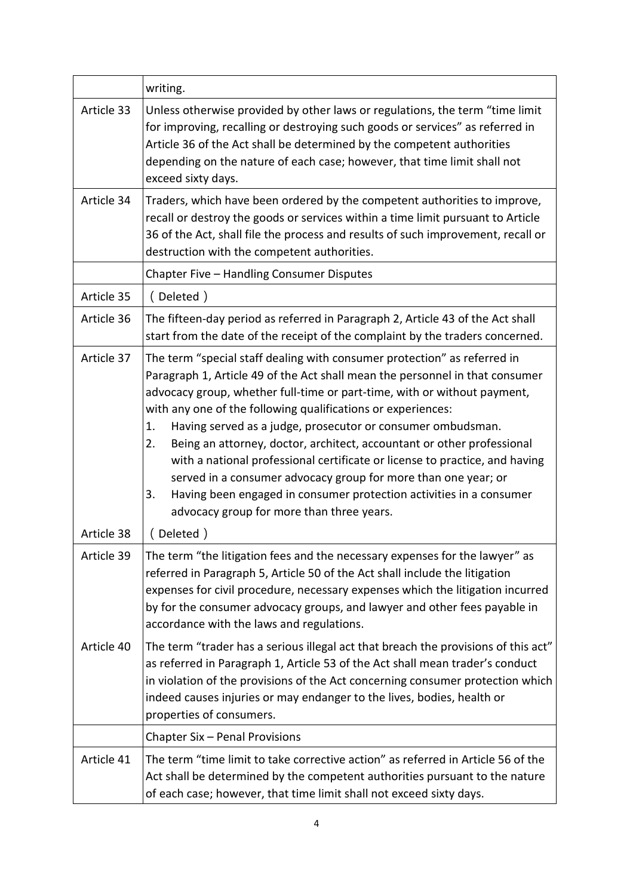|            | writing.                                                                                                                                                                                                                                                                                                                                                                                                                                                                                                                                                                                                                                                                                                                             |
|------------|--------------------------------------------------------------------------------------------------------------------------------------------------------------------------------------------------------------------------------------------------------------------------------------------------------------------------------------------------------------------------------------------------------------------------------------------------------------------------------------------------------------------------------------------------------------------------------------------------------------------------------------------------------------------------------------------------------------------------------------|
| Article 33 | Unless otherwise provided by other laws or regulations, the term "time limit<br>for improving, recalling or destroying such goods or services" as referred in<br>Article 36 of the Act shall be determined by the competent authorities<br>depending on the nature of each case; however, that time limit shall not<br>exceed sixty days.                                                                                                                                                                                                                                                                                                                                                                                            |
| Article 34 | Traders, which have been ordered by the competent authorities to improve,<br>recall or destroy the goods or services within a time limit pursuant to Article<br>36 of the Act, shall file the process and results of such improvement, recall or<br>destruction with the competent authorities.                                                                                                                                                                                                                                                                                                                                                                                                                                      |
|            | Chapter Five - Handling Consumer Disputes                                                                                                                                                                                                                                                                                                                                                                                                                                                                                                                                                                                                                                                                                            |
| Article 35 | (Deleted)                                                                                                                                                                                                                                                                                                                                                                                                                                                                                                                                                                                                                                                                                                                            |
| Article 36 | The fifteen-day period as referred in Paragraph 2, Article 43 of the Act shall<br>start from the date of the receipt of the complaint by the traders concerned.                                                                                                                                                                                                                                                                                                                                                                                                                                                                                                                                                                      |
| Article 37 | The term "special staff dealing with consumer protection" as referred in<br>Paragraph 1, Article 49 of the Act shall mean the personnel in that consumer<br>advocacy group, whether full-time or part-time, with or without payment,<br>with any one of the following qualifications or experiences:<br>1.<br>Having served as a judge, prosecutor or consumer ombudsman.<br>Being an attorney, doctor, architect, accountant or other professional<br>2.<br>with a national professional certificate or license to practice, and having<br>served in a consumer advocacy group for more than one year; or<br>Having been engaged in consumer protection activities in a consumer<br>3.<br>advocacy group for more than three years. |
| Article 38 | (Deleted)                                                                                                                                                                                                                                                                                                                                                                                                                                                                                                                                                                                                                                                                                                                            |
| Article 39 | The term "the litigation fees and the necessary expenses for the lawyer" as<br>referred in Paragraph 5, Article 50 of the Act shall include the litigation<br>expenses for civil procedure, necessary expenses which the litigation incurred<br>by for the consumer advocacy groups, and lawyer and other fees payable in<br>accordance with the laws and regulations.                                                                                                                                                                                                                                                                                                                                                               |
| Article 40 | The term "trader has a serious illegal act that breach the provisions of this act"<br>as referred in Paragraph 1, Article 53 of the Act shall mean trader's conduct<br>in violation of the provisions of the Act concerning consumer protection which<br>indeed causes injuries or may endanger to the lives, bodies, health or<br>properties of consumers.                                                                                                                                                                                                                                                                                                                                                                          |
|            | Chapter Six - Penal Provisions                                                                                                                                                                                                                                                                                                                                                                                                                                                                                                                                                                                                                                                                                                       |
| Article 41 | The term "time limit to take corrective action" as referred in Article 56 of the<br>Act shall be determined by the competent authorities pursuant to the nature<br>of each case; however, that time limit shall not exceed sixty days.                                                                                                                                                                                                                                                                                                                                                                                                                                                                                               |